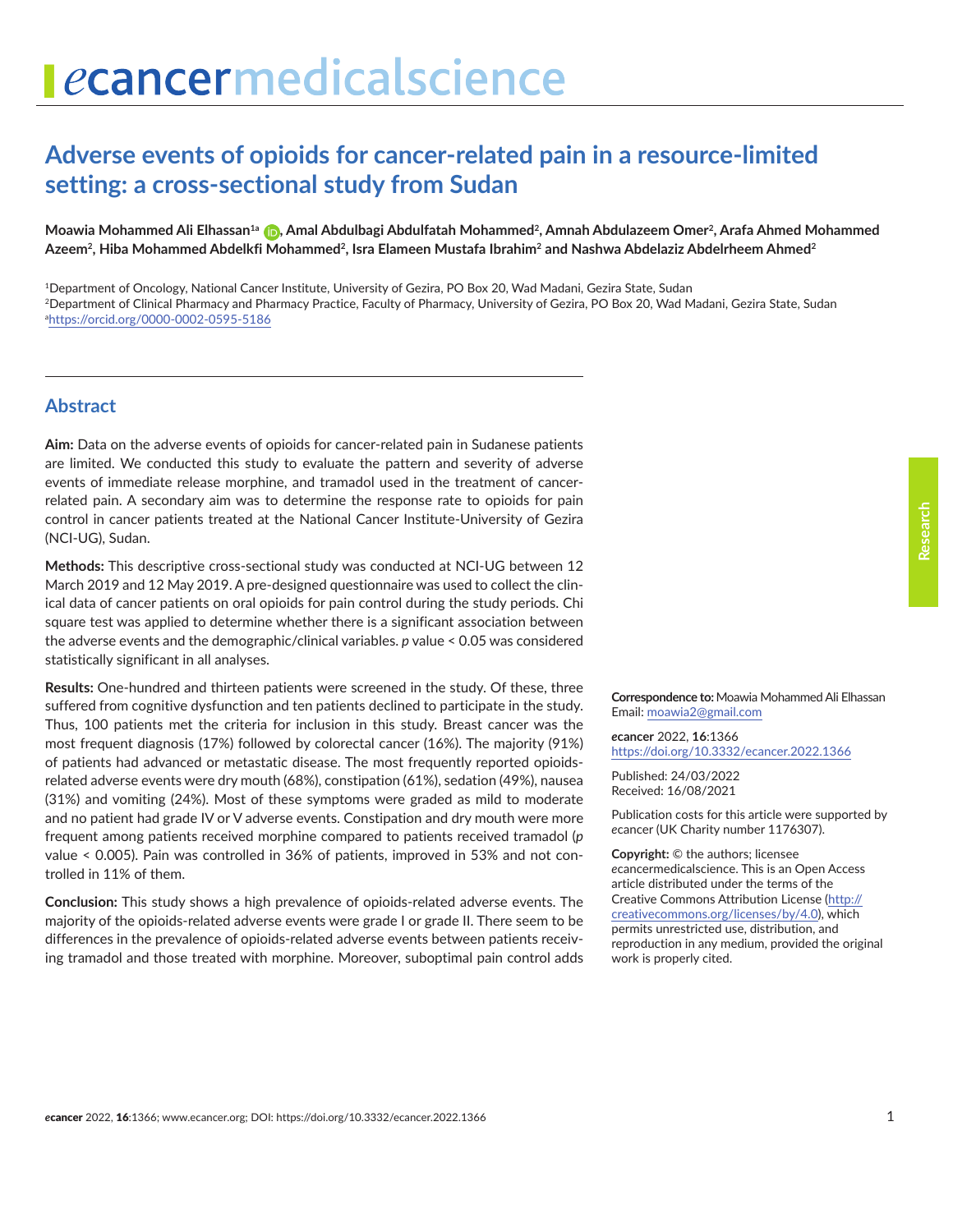# **Adverse events of opioids for cancer-related pain in a resource-limited setting: a cross-sectional study from Sudan**

Moawia Mohammed Ali Elhassan<sup>1a</sup> **D**[,](https://orcid.org/0000-0002-0595-5186) Amal Abdulbagi Abdulfatah Mohammed<sup>2</sup>, Amnah Abdulazeem Omer<sup>2</sup>, Arafa Ahmed Mohammed Azeem<sup>2</sup>, Hiba Mohammed Abdelkfi Mohammed<sup>2</sup>, Isra Elameen Mustafa Ibrahim<sup>2</sup> and Nashwa Abdelaziz Abdelrheem Ahmed<sup>2</sup>

1Department of Oncology, National Cancer Institute, University of Gezira, PO Box 20, Wad Madani, Gezira State, Sudan 2Department of Clinical Pharmacy and Pharmacy Practice, Faculty of Pharmacy, University of Gezira, PO Box 20, Wad Madani, Gezira State, Sudan a <https://orcid.org/0000-0002-0595-5186>

#### **Abstract**

**Aim:** Data on the adverse events of opioids for cancer-related pain in Sudanese patients are limited. We conducted this study to evaluate the pattern and severity of adverse events of immediate release morphine, and tramadol used in the treatment of cancerrelated pain. A secondary aim was to determine the response rate to opioids for pain control in cancer patients treated at the National Cancer Institute-University of Gezira (NCI-UG), Sudan.

**Methods:** This descriptive cross-sectional study was conducted at NCI-UG between 12 March 2019 and 12 May 2019. A pre-designed questionnaire was used to collect the clinical data of cancer patients on oral opioids for pain control during the study periods. Chi square test was applied to determine whether there is a significant association between the adverse events and the demographic/clinical variables. *p* value < 0.05 was considered statistically significant in all analyses.

**Results:** One-hundred and thirteen patients were screened in the study. Of these, three suffered from cognitive dysfunction and ten patients declined to participate in the study. Thus, 100 patients met the criteria for inclusion in this study. Breast cancer was the most frequent diagnosis (17%) followed by colorectal cancer (16%). The majority (91%) of patients had advanced or metastatic disease. The most frequently reported opioidsrelated adverse events were dry mouth (68%), constipation (61%), sedation (49%), nausea (31%) and vomiting (24%). Most of these symptoms were graded as mild to moderate and no patient had grade IV or V adverse events. Constipation and dry mouth were more frequent among patients received morphine compared to patients received tramadol (*p* value < 0.005). Pain was controlled in 36% of patients, improved in 53% and not controlled in 11% of them.

**Conclusion:** This study shows a high prevalence of opioids-related adverse events. The majority of the opioids-related adverse events were grade I or grade II. There seem to be differences in the prevalence of opioids-related adverse events between patients receiving tramadol and those treated with morphine. Moreover, suboptimal pain control adds

**Correspondence to:** Moawia Mohammed Ali Elhassan Email: [moawia2@gmail.com](mailto:moawia2@gmail.com)

*e***cancer** 2022, **16**:1366 <https://doi.org/10.3332/ecancer.2022.1366>

Published: 24/03/2022 Received: 16/08/2021

Publication costs for this article were supported by *e*cancer (UK Charity number 1176307).

**Copyright:** © the authors; licensee *e*cancermedicalscience. This is an Open Access article distributed under the terms of the Creative Commons Attribution License (http:// creativecommons.org/licenses/by/4.0), which permits unrestricted use, distribution, and reproduction in any medium, provided the original work is properly cited.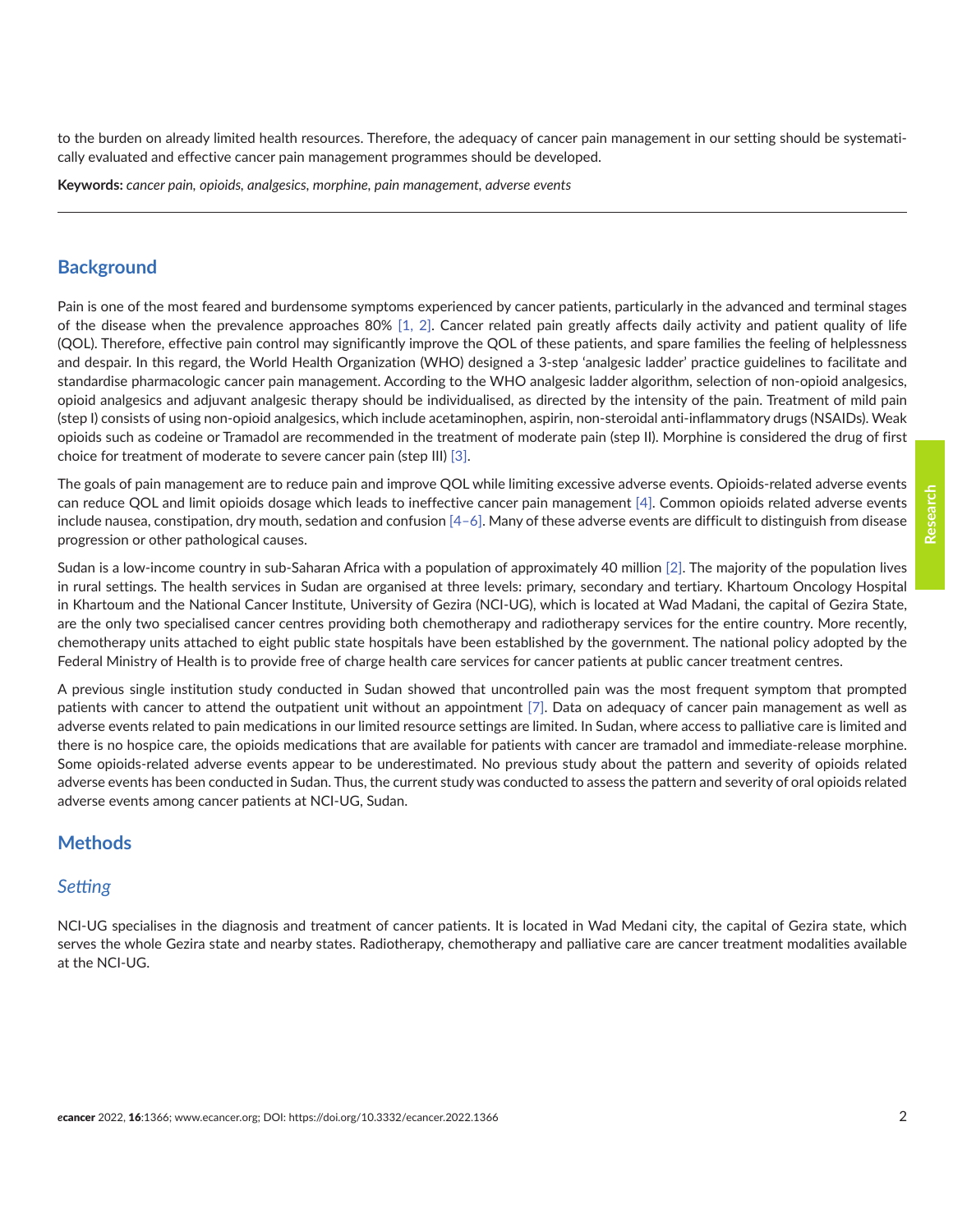to the burden on already limited health resources. Therefore, the adequacy of cancer pain management in our setting should be systematically evaluated and effective cancer pain management programmes should be developed.

**Keywords:** *cancer pain, opioids, analgesics, morphine, pain management, adverse events*

#### **Background**

Pain is one of the most feared and burdensome symptoms experienced by cancer patients, particularly in the advanced and terminal stages of the disease when the prevalence approaches 80% [\[1, 2\]](#page-9-0). Cancer related pain greatly affects daily activity and patient quality of life (QOL). Therefore, effective pain control may significantly improve the QOL of these patients, and spare families the feeling of helplessness and despair. In this regard, the World Health Organization (WHO) designed a 3-step 'analgesic ladder' practice guidelines to facilitate and standardise pharmacologic cancer pain management. According to the WHO analgesic ladder algorithm, selection of non-opioid analgesics, opioid analgesics and adjuvant analgesic therapy should be individualised, as directed by the intensity of the pain. Treatment of mild pain (step I) consists of using non-opioid analgesics, which include acetaminophen, aspirin, non-steroidal anti-inflammatory drugs (NSAIDs). Weak opioids such as codeine or Tramadol are recommended in the treatment of moderate pain (step II). Morphine is considered the drug of first choice for treatment of moderate to severe cancer pain (step III) [\[3\]](#page-9-0).

The goals of pain management are to reduce pain and improve QOL while limiting excessive adverse events. Opioids-related adverse events can reduce QOL and limit opioids dosage which leads to ineffective cancer pain management [\[4\]](#page-9-0). Common opioids related adverse events include nausea, constipation, dry mouth, sedation and confusion [4-6]. Many of these adverse events are difficult to distinguish from disease progression or other pathological causes.

Sudan is a low-income country in sub-Saharan Africa with a population of approximately 40 million [\[2\].](#page-9-0) The majority of the population lives in rural settings. The health services in Sudan are organised at three levels: primary, secondary and tertiary. Khartoum Oncology Hospital in Khartoum and the National Cancer Institute, University of Gezira (NCI-UG), which is located at Wad Madani, the capital of Gezira State, are the only two specialised cancer centres providing both chemotherapy and radiotherapy services for the entire country. More recently, chemotherapy units attached to eight public state hospitals have been established by the government. The national policy adopted by the Federal Ministry of Health is to provide free of charge health care services for cancer patients at public cancer treatment centres.

A previous single institution study conducted in Sudan showed that uncontrolled pain was the most frequent symptom that prompted patients with cancer to attend the outpatient unit without an appointment [\[7\].](#page-9-0) Data on adequacy of cancer pain management as well as adverse events related to pain medications in our limited resource settings are limited. In Sudan, where access to palliative care is limited and there is no hospice care, the opioids medications that are available for patients with cancer are tramadol and immediate-release morphine. Some opioids-related adverse events appear to be underestimated. No previous study about the pattern and severity of opioids related adverse events has been conducted in Sudan. Thus, the current study was conducted to assess the pattern and severity of oral opioids related adverse events among cancer patients at NCI-UG, Sudan.

#### **Methods**

#### *Setting*

NCI-UG specialises in the diagnosis and treatment of cancer patients. It is located in Wad Medani city, the capital of Gezira state, which serves the whole Gezira state and nearby states. Radiotherapy, chemotherapy and palliative care are cancer treatment modalities available at the NCI-UG.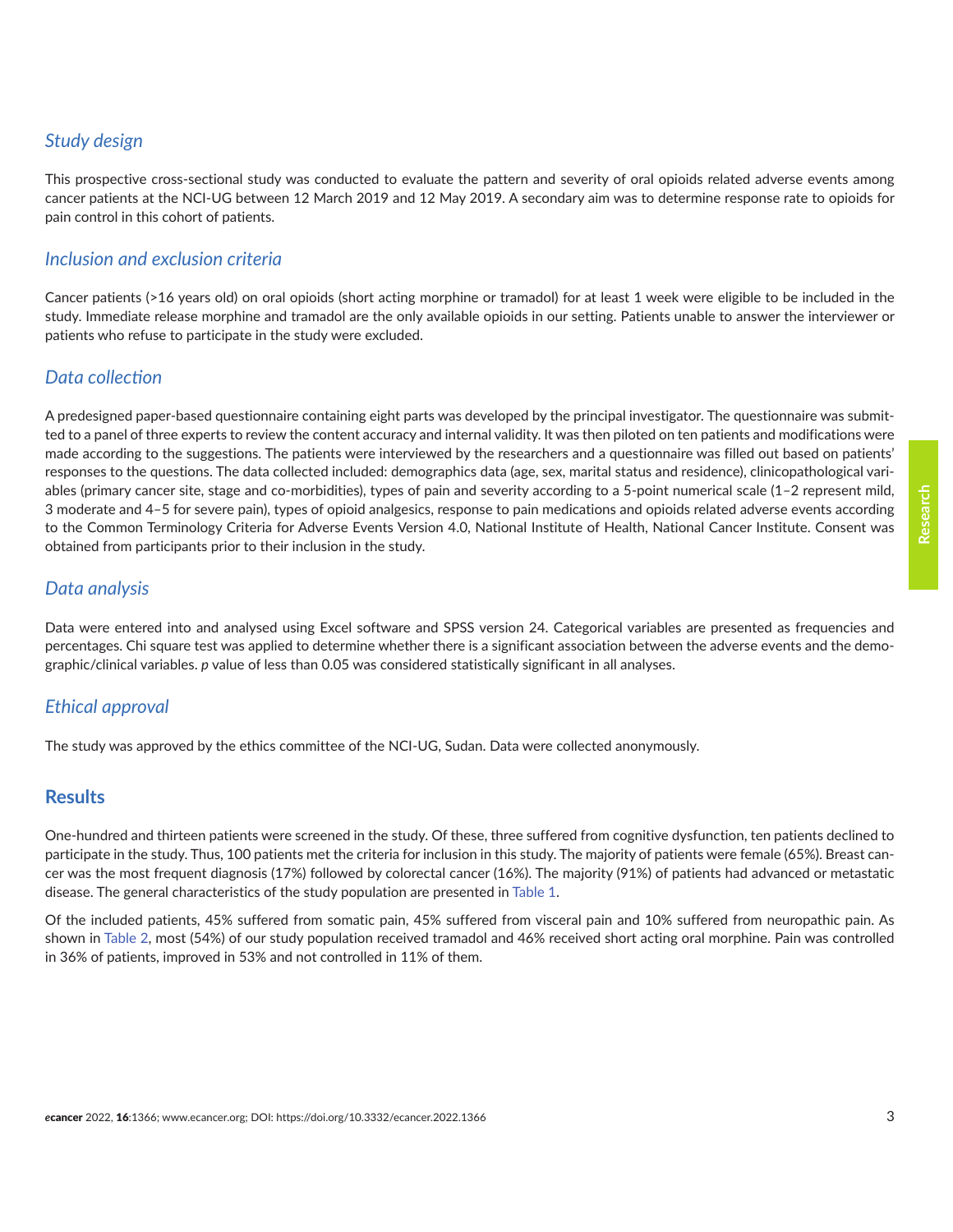# *Study design*

This prospective cross-sectional study was conducted to evaluate the pattern and severity of oral opioids related adverse events among cancer patients at the NCI-UG between 12 March 2019 and 12 May 2019. A secondary aim was to determine response rate to opioids for pain control in this cohort of patients.

#### *Inclusion and exclusion criteria*

Cancer patients (>16 years old) on oral opioids (short acting morphine or tramadol) for at least 1 week were eligible to be included in the study. Immediate release morphine and tramadol are the only available opioids in our setting. Patients unable to answer the interviewer or patients who refuse to participate in the study were excluded.

# *Data collection*

A predesigned paper-based questionnaire containing eight parts was developed by the principal investigator. The questionnaire was submitted to a panel of three experts to review the content accuracy and internal validity. It was then piloted on ten patients and modifications were made according to the suggestions. The patients were interviewed by the researchers and a questionnaire was filled out based on patients' responses to the questions. The data collected included: demographics data (age, sex, marital status and residence), clinicopathological variables (primary cancer site, stage and co-morbidities), types of pain and severity according to a 5-point numerical scale (1–2 represent mild, 3 moderate and 4–5 for severe pain), types of opioid analgesics, response to pain medications and opioids related adverse events according to the Common Terminology Criteria for Adverse Events Version 4.0, National Institute of Health, National Cancer Institute. Consent was obtained from participants prior to their inclusion in the study.

# *Data analysis*

Data were entered into and analysed using Excel software and SPSS version 24. Categorical variables are presented as frequencies and percentages. Chi square test was applied to determine whether there is a significant association between the adverse events and the demographic/clinical variables. *p* value of less than 0.05 was considered statistically significant in all analyses.

# *Ethical approval*

The study was approved by the ethics committee of the NCI-UG, Sudan. Data were collected anonymously.

#### **Results**

One-hundred and thirteen patients were screened in the study. Of these, three suffered from cognitive dysfunction, ten patients declined to participate in the study. Thus, 100 patients met the criteria for inclusion in this study. The majority of patients were female (65%). Breast cancer was the most frequent diagnosis (17%) followed by colorectal cancer (16%). The majority (91%) of patients had advanced or metastatic disease. The general characteristics of the study population are presented in [Table 1.](#page-3-0)

Of the included patients, 45% suffered from somatic pain, 45% suffered from visceral pain and 10% suffered from neuropathic pain. As shown in [Table 2](#page-4-0), most (54%) of our study population received tramadol and 46% received short acting oral morphine. Pain was controlled in 36% of patients, improved in 53% and not controlled in 11% of them.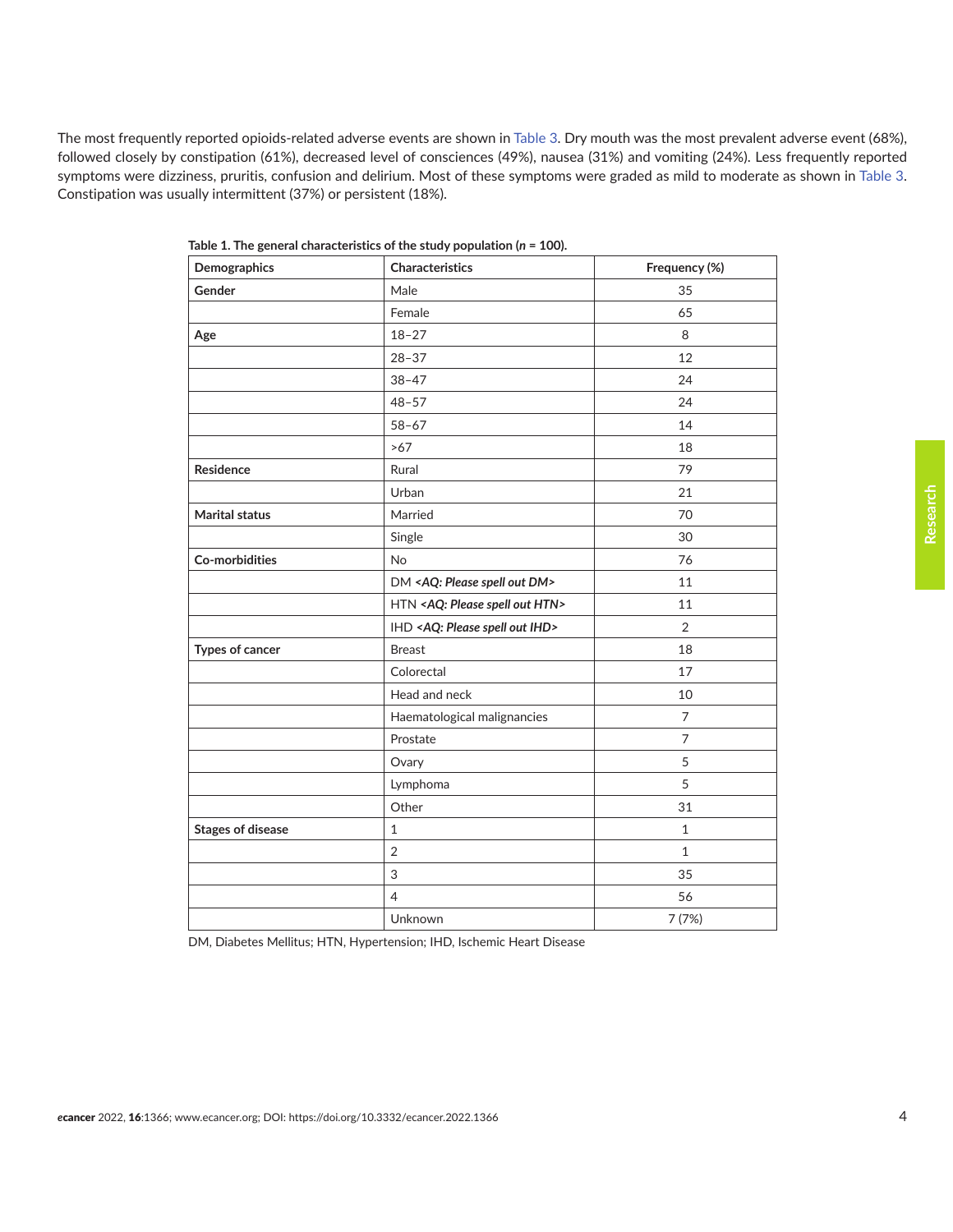<span id="page-3-0"></span>The most frequently reported opioids-related adverse events are shown in [Table 3](#page-4-0). Dry mouth was the most prevalent adverse event (68%), followed closely by constipation (61%), decreased level of consciences (49%), nausea (31%) and vomiting (24%). Less frequently reported symptoms were dizziness, pruritis, confusion and delirium. Most of these symptoms were graded as mild to moderate as shown in [Table 3.](#page-4-0) Constipation was usually intermittent (37%) or persistent (18%).

| Demographics             | Characteristics                                  | Frequency (%)  |
|--------------------------|--------------------------------------------------|----------------|
| Gender                   | Male                                             | 35             |
|                          | Female                                           | 65             |
| Age                      | $18 - 27$                                        | $\,8\,$        |
|                          | $28 - 37$                                        | 12             |
|                          | $38 - 47$                                        | 24             |
|                          | $48 - 57$                                        | 24             |
|                          | $58 - 67$                                        | 14             |
|                          | $>67$                                            | 18             |
| Residence                | Rural                                            | 79             |
|                          | Urban                                            | 21             |
| Marital status           | Married                                          | 70             |
|                          | Single                                           | 30             |
| Co-morbidities           | No                                               | 76             |
|                          | DM <aq: dm="" out="" please="" spell=""></aq:>   | 11             |
|                          | HTN <aq: htn="" out="" please="" spell=""></aq:> | 11             |
|                          | IHD <aq: ihd="" out="" please="" spell=""></aq:> | $\overline{2}$ |
| Types of cancer          | <b>Breast</b>                                    | 18             |
|                          | Colorectal                                       | 17             |
|                          | Head and neck                                    | 10             |
|                          | Haematological malignancies                      | $\overline{7}$ |
|                          | Prostate                                         | $\overline{7}$ |
|                          | Ovary                                            | 5              |
|                          | Lymphoma                                         | 5              |
|                          | Other                                            | 31             |
| <b>Stages of disease</b> | $\mathbf{1}$                                     | $\mathbf{1}$   |
|                          | $\overline{2}$                                   | $\mathbf{1}$   |
|                          | 3                                                | 35             |
|                          | 4                                                | 56             |
|                          | Unknown                                          | 7 (7%)         |

**Table 1. The general characteristics of the study population (***n* **= 100).**

DM, Diabetes Mellitus; HTN, Hypertension; IHD, Ischemic Heart Disease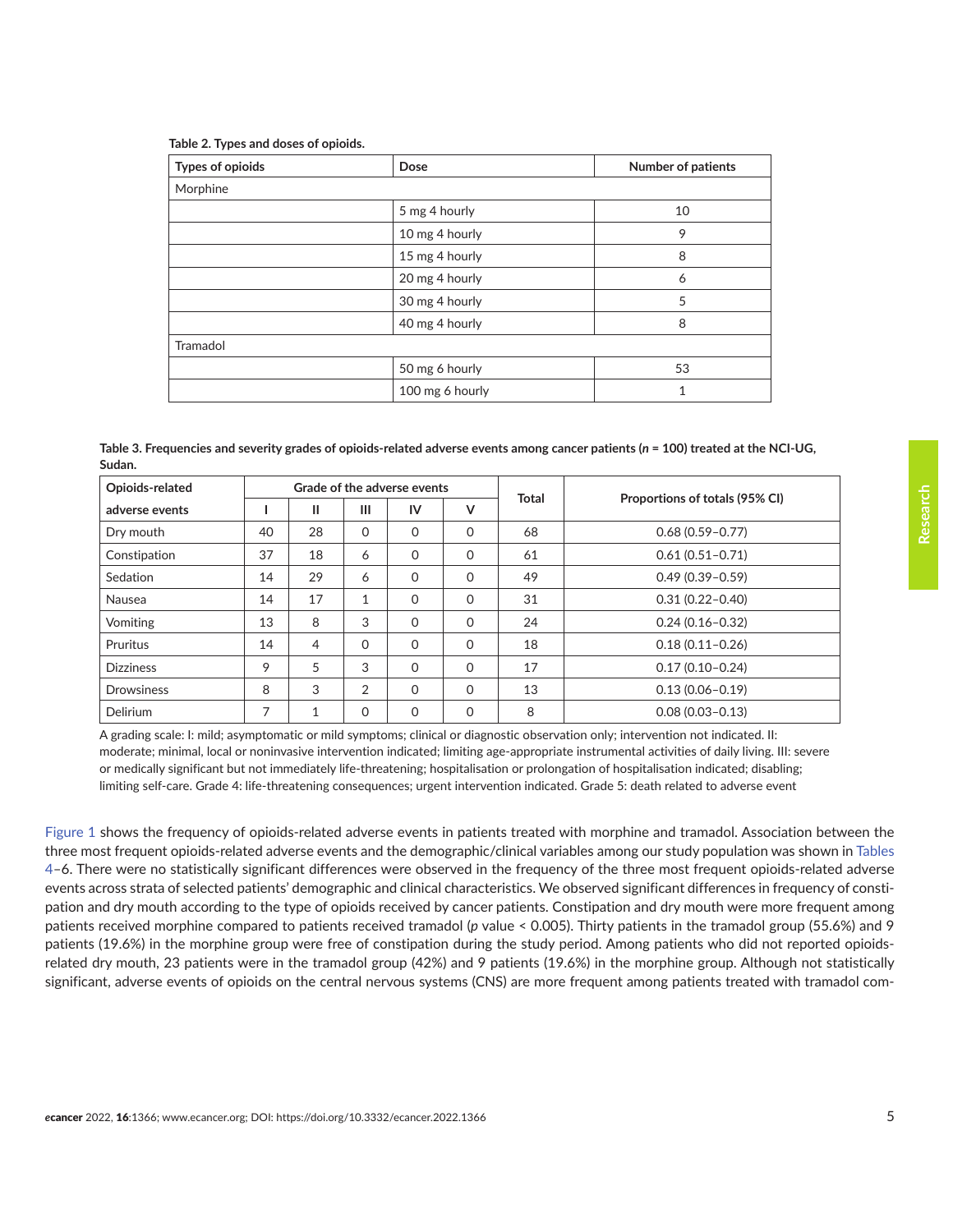<span id="page-4-0"></span>

|  | Table 2. Types and doses of opioids. |  |  |  |  |
|--|--------------------------------------|--|--|--|--|
|--|--------------------------------------|--|--|--|--|

| <b>Types of opioids</b> | Dose            | <b>Number of patients</b> |
|-------------------------|-----------------|---------------------------|
| Morphine                |                 |                           |
|                         | 5 mg 4 hourly   | 10                        |
|                         | 10 mg 4 hourly  | 9                         |
|                         | 15 mg 4 hourly  | 8                         |
|                         | 20 mg 4 hourly  | 6                         |
|                         | 30 mg 4 hourly  | 5                         |
|                         | 40 mg 4 hourly  | 8                         |
| Tramadol                |                 |                           |
|                         | 50 mg 6 hourly  | 53                        |
|                         | 100 mg 6 hourly | 1                         |

| Table 3. Frequencies and severity grades of opioids-related adverse events among cancer patients (n = 100) treated at the NCI-UG, |  |
|-----------------------------------------------------------------------------------------------------------------------------------|--|
| Sudan.                                                                                                                            |  |

| Opioids-related   | Grade of the adverse events |    |              |          |             |              |                                |  |
|-------------------|-----------------------------|----|--------------|----------|-------------|--------------|--------------------------------|--|
| adverse events    |                             | Ш  | Ш            | IV       | v           | <b>Total</b> | Proportions of totals (95% CI) |  |
| Dry mouth         | 40                          | 28 | 0            | 0        | $\Omega$    | 68           | $0.68(0.59 - 0.77)$            |  |
| Constipation      | 37                          | 18 | 6            | $\Omega$ | $\mathbf 0$ | 61           | $0.61(0.51 - 0.71)$            |  |
| Sedation          | 14                          | 29 | 6            | 0        | $\Omega$    | 49           | $0.49(0.39 - 0.59)$            |  |
| Nausea            | 14                          | 17 | $\mathbf{1}$ | $\Omega$ | $\mathbf 0$ | 31           | $0.31(0.22 - 0.40)$            |  |
| Vomiting          | 13                          | 8  | 3            | 0        | $\Omega$    | 24           | $0.24(0.16 - 0.32)$            |  |
| Pruritus          | 14                          | 4  | $\Omega$     | 0        | $\mathbf 0$ | 18           | $0.18(0.11 - 0.26)$            |  |
| <b>Dizziness</b>  | 9                           | 5  | 3            | 0        | $\Omega$    | 17           | $0.17(0.10 - 0.24)$            |  |
| <b>Drowsiness</b> | 8                           | 3  | 2            | 0        | $\Omega$    | 13           | $0.13(0.06 - 0.19)$            |  |
| <b>Delirium</b>   | $\overline{ }$              |    | $\Omega$     | 0        | 0           | 8            | $0.08(0.03 - 0.13)$            |  |

A grading scale: I: mild; asymptomatic or mild symptoms; clinical or diagnostic observation only; intervention not indicated. II: moderate; minimal, local or noninvasive intervention indicated; limiting age-appropriate instrumental activities of daily living. III: severe or medically significant but not immediately life-threatening; hospitalisation or prolongation of hospitalisation indicated; disabling; limiting self-care. Grade 4: life-threatening consequences; urgent intervention indicated. Grade 5: death related to adverse event

[Figure 1](#page-5-0) shows the frequency of opioids-related adverse events in patients treated with morphine and tramadol. Association between the three most frequent opioids-related adverse events and the demographic/clinical variables among our study population was shown in Tables 4–6. There were no statistically significant differences were observed in the frequency of the three most frequent opioids-related adverse events across strata of selected patients' demographic and clinical characteristics. We observed significant differences in frequency of constipation and dry mouth according to the type of opioids received by cancer patients. Constipation and dry mouth were more frequent among patients received morphine compared to patients received tramadol (*p* value < 0.005). Thirty patients in the tramadol group (55.6%) and 9 patients (19.6%) in the morphine group were free of constipation during the study period. Among patients who did not reported opioidsrelated dry mouth, 23 patients were in the tramadol group (42%) and 9 patients (19.6%) in the morphine group. Although not statistically significant, adverse events of opioids on the central nervous systems (CNS) are more frequent among patients treated with tramadol com**Research**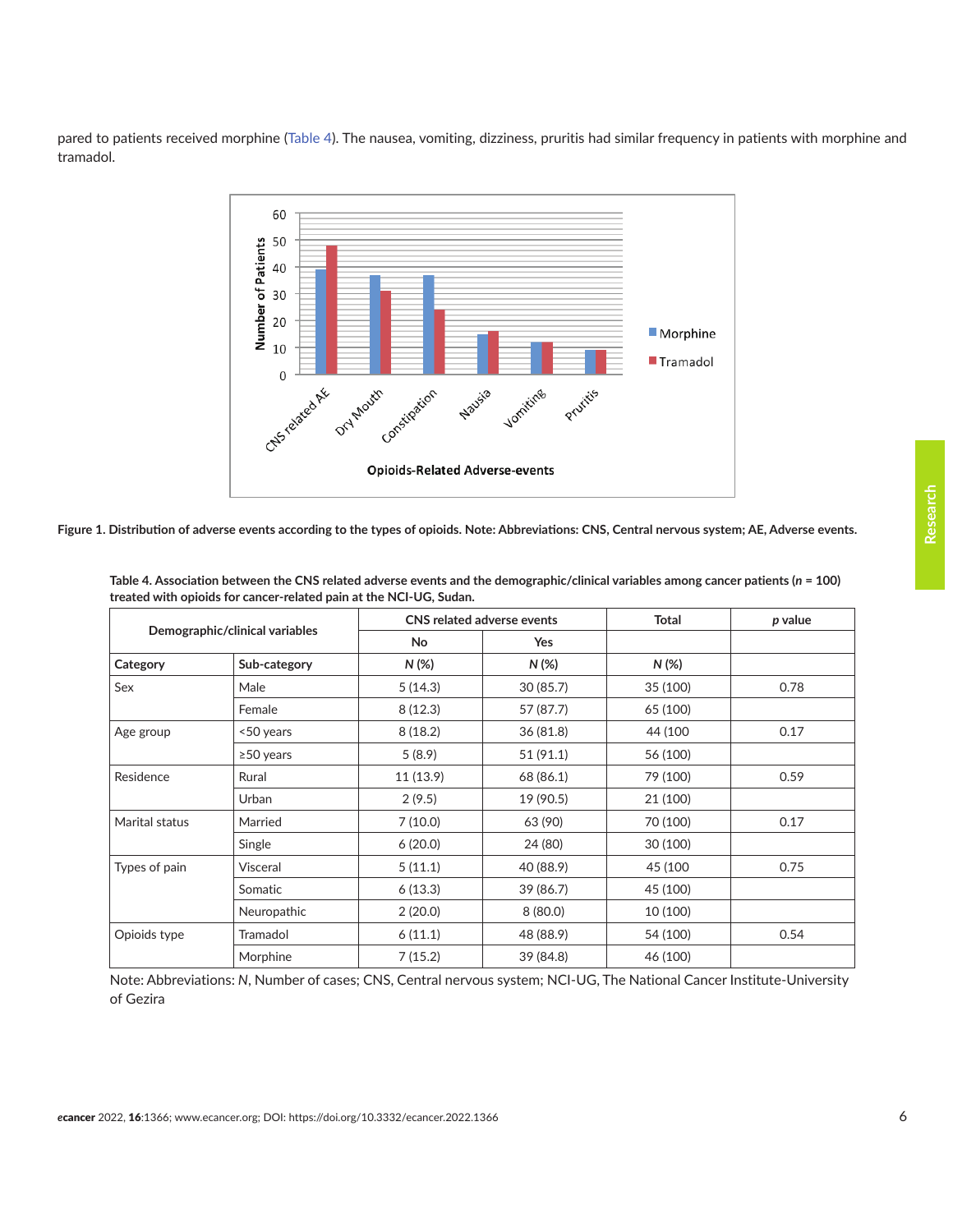<span id="page-5-0"></span>pared to patients received morphine (Table 4). The nausea, vomiting, dizziness, pruritis had similar frequency in patients with morphine and tramadol.



**Figure 1. Distribution of adverse events according to the types of opioids. Note: Abbreviations: CNS, Central nervous system; AE, Adverse events.**

| Demographic/clinical variables |                 |          | CNS related adverse events | <b>Total</b> | p value |
|--------------------------------|-----------------|----------|----------------------------|--------------|---------|
|                                |                 | No       | <b>Yes</b>                 |              |         |
| Category                       | Sub-category    | N (%)    | $N(\%)$                    | $N(\%)$      |         |
| Sex                            | Male            | 5(14.3)  | 30(85.7)                   | 35 (100)     | 0.78    |
|                                | Female          | 8(12.3)  | 57 (87.7)                  | 65 (100)     |         |
| Age group                      | <50 years       | 8(18.2)  | 36(81.8)                   | 44 (100)     | 0.17    |
|                                | $\geq$ 50 years | 5(8.9)   | 51 (91.1)                  | 56 (100)     |         |
| Residence                      | Rural           | 11(13.9) | 68 (86.1)                  | 79 (100)     | 0.59    |
|                                | Urban           | 2(9.5)   | 19 (90.5)                  | 21 (100)     |         |
| Marital status                 | Married         | 7(10.0)  | 63 (90)                    | 70 (100)     | 0.17    |
|                                | Single          | 6(20.0)  | 24 (80)                    | 30 (100)     |         |
| Types of pain                  | Visceral        | 5(11.1)  | 40 (88.9)                  | 45 (100      | 0.75    |
|                                | Somatic         | 6(13.3)  | 39 (86.7)                  | 45 (100)     |         |
|                                | Neuropathic     | 2(20.0)  | 8(80.0)                    | 10 (100)     |         |
| Opioids type                   | Tramadol        | 6(11.1)  | 48 (88.9)                  | 54 (100)     | 0.54    |
|                                | Morphine        | 7(15.2)  | 39 (84.8)                  | 46 (100)     |         |

**Table 4. Association between the CNS related adverse events and the demographic/clinical variables among cancer patients (***n* **= 100) treated with opioids for cancer-related pain at the NCI-UG, Sudan.**

Note: Abbreviations: *N*, Number of cases; CNS, Central nervous system; NCI-UG, The National Cancer Institute-University of Gezira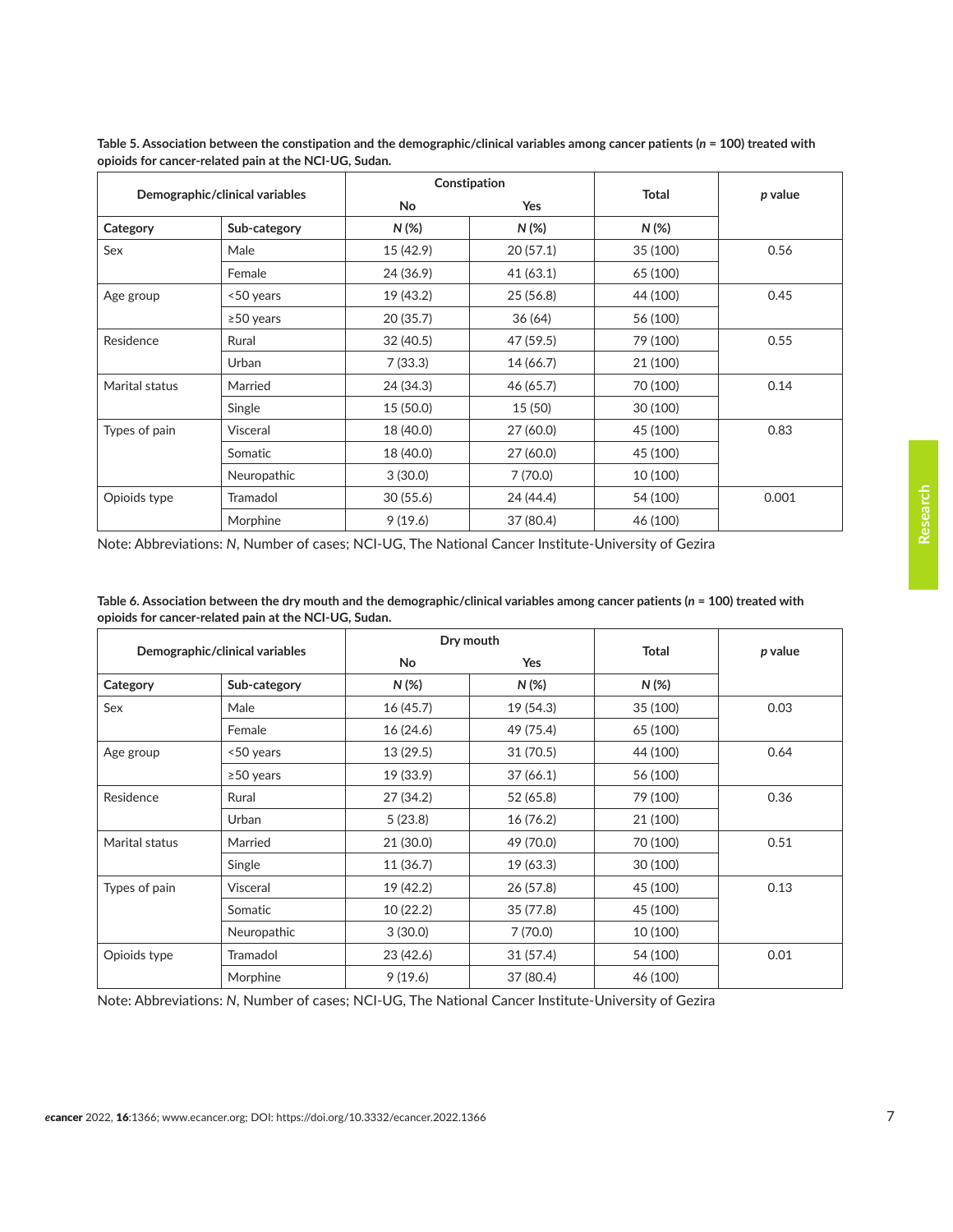|                | Demographic/clinical variables |           | Constipation | <b>Total</b> | p value |
|----------------|--------------------------------|-----------|--------------|--------------|---------|
|                |                                | <b>No</b> | <b>Yes</b>   |              |         |
| Category       | Sub-category                   | $N(\%)$   | $N(\%)$      | $N(\%)$      |         |
| Sex            | Male                           | 15 (42.9) | 20(57.1)     | 35 (100)     | 0.56    |
|                | Female                         | 24 (36.9) | 41(63.1)     | 65 (100)     |         |
| Age group      | <50 years                      | 19 (43.2) | 25(56.8)     | 44 (100)     | 0.45    |
|                | $\geq$ 50 years                | 20(35.7)  | 36(64)       | 56 (100)     |         |
| Residence      | Rural                          | 32(40.5)  | 47 (59.5)    | 79 (100)     | 0.55    |
|                | Urban                          | 7(33.3)   | 14 (66.7)    | 21 (100)     |         |
| Marital status | Married                        | 24 (34.3) | 46 (65.7)    | 70 (100)     | 0.14    |
|                | Single                         | 15(50.0)  | 15(50)       | 30 (100)     |         |
| Types of pain  | Visceral                       | 18 (40.0) | 27 (60.0)    | 45 (100)     | 0.83    |
|                | Somatic                        | 18 (40.0) | 27 (60.0)    | 45 (100)     |         |
|                | Neuropathic                    | 3(30.0)   | 7(70.0)      | 10 (100)     |         |
| Opioids type   | Tramadol                       | 30(55.6)  | 24 (44.4)    | 54 (100)     | 0.001   |
|                | Morphine                       | 9(19.6)   | 37 (80.4)    | 46 (100)     |         |

**Table 5. Association between the constipation and the demographic/clinical variables among cancer patients (***n* **= 100) treated with opioids for cancer-related pain at the NCI-UG, Sudan.**

Note: Abbreviations: *N*, Number of cases; NCI-UG, The National Cancer Institute-University of Gezira

| Table 6. Association between the dry mouth and the demographic/clinical variables among cancer patients ( $n = 100$ ) treated with |  |
|------------------------------------------------------------------------------------------------------------------------------------|--|
| opioids for cancer-related pain at the NCI-UG, Sudan.                                                                              |  |

| Demographic/clinical variables |              |           | Dry mouth |              | p value |
|--------------------------------|--------------|-----------|-----------|--------------|---------|
|                                |              | <b>No</b> | Yes       | <b>Total</b> |         |
| Category                       | Sub-category | $N(\%)$   | $N(\%)$   | $N(\%)$      |         |
| Sex                            | Male         | 16(45.7)  | 19 (54.3) | 35 (100)     | 0.03    |
|                                | Female       | 16(24.6)  | 49 (75.4) | 65 (100)     |         |
| Age group                      | <50 years    | 13(29.5)  | 31(70.5)  | 44 (100)     | 0.64    |
|                                | ≥50 years    | 19 (33.9) | 37(66.1)  | 56 (100)     |         |
| Residence                      | Rural        | 27 (34.2) | 52 (65.8) | 79 (100)     | 0.36    |
|                                | Urban        | 5(23.8)   | 16(76.2)  | 21 (100)     |         |
| Marital status                 | Married      | 21 (30.0) | 49 (70.0) | 70 (100)     | 0.51    |
|                                | Single       | 11(36.7)  | 19 (63.3) | 30 (100)     |         |
| Types of pain                  | Visceral     | 19 (42.2) | 26(57.8)  | 45 (100)     | 0.13    |
|                                | Somatic      | 10(22.2)  | 35 (77.8) | 45 (100)     |         |
|                                | Neuropathic  | 3(30.0)   | 7(70.0)   | 10 (100)     |         |
| Opioids type                   | Tramadol     | 23 (42.6) | 31(57.4)  | 54 (100)     | 0.01    |
|                                | Morphine     | 9(19.6)   | 37 (80.4) | 46 (100)     |         |

Note: Abbreviations: *N*, Number of cases; NCI-UG, The National Cancer Institute-University of Gezira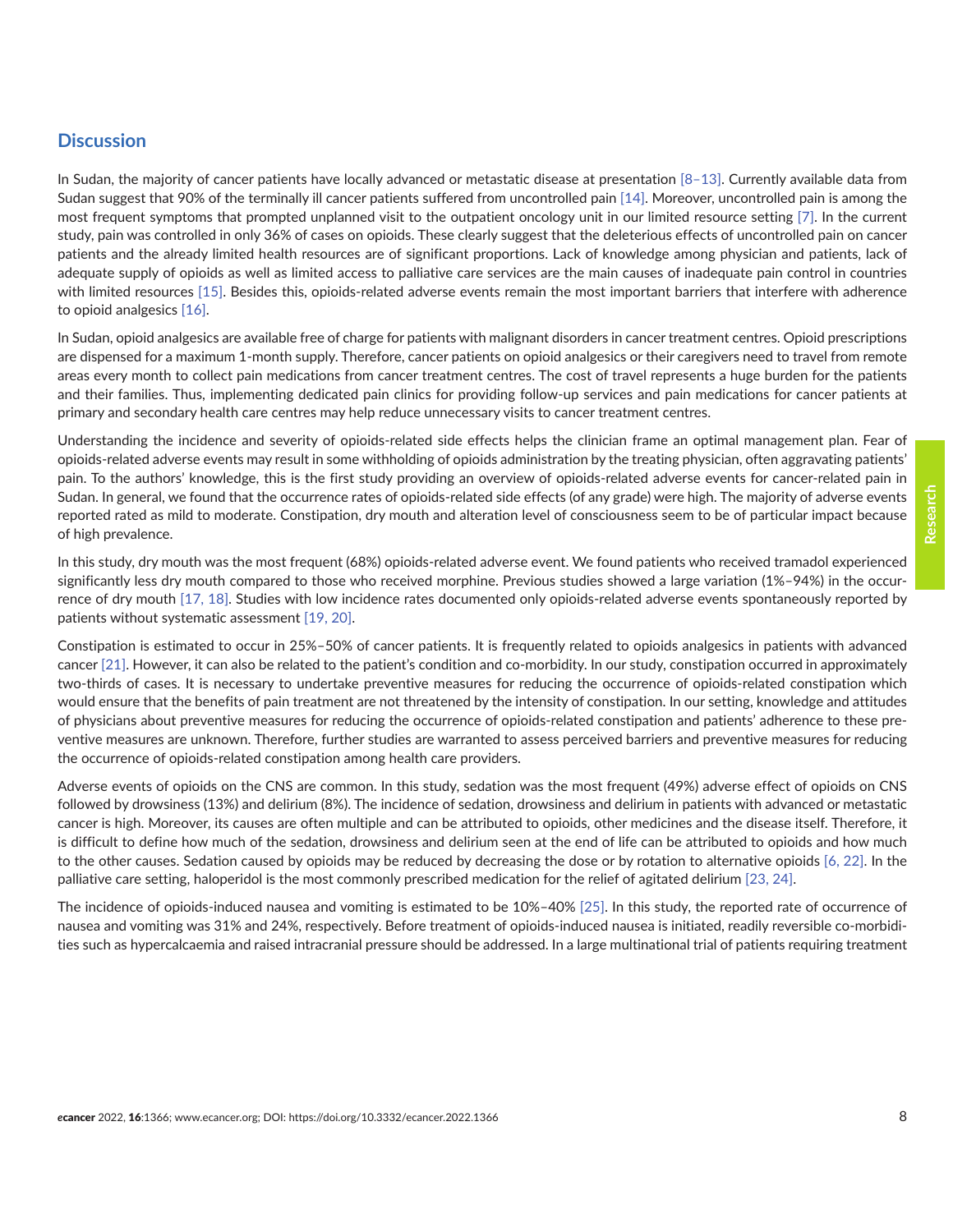#### **Discussion**

In Sudan, the majority of cancer patients have locally advanced or metastatic disease at presentation  $[8-13]$ . Currently available data from Sudan suggest that 90% of the terminally ill cancer patients suffered from uncontrolled pain [\[14\].](#page-9-0) Moreover, uncontrolled pain is among the most frequent symptoms that prompted unplanned visit to the outpatient oncology unit in our limited resource setting [\[7\]](#page-9-0). In the current study, pain was controlled in only 36% of cases on opioids. These clearly suggest that the deleterious effects of uncontrolled pain on cancer patients and the already limited health resources are of significant proportions. Lack of knowledge among physician and patients, lack of adequate supply of opioids as well as limited access to palliative care services are the main causes of inadequate pain control in countries with limited resources [\[15\]](#page-9-0). Besides this, opioids-related adverse events remain the most important barriers that interfere with adherence to opioid analgesics [\[16\]](#page-9-0).

In Sudan, opioid analgesics are available free of charge for patients with malignant disorders in cancer treatment centres. Opioid prescriptions are dispensed for a maximum 1-month supply. Therefore, cancer patients on opioid analgesics or their caregivers need to travel from remote areas every month to collect pain medications from cancer treatment centres. The cost of travel represents a huge burden for the patients and their families. Thus, implementing dedicated pain clinics for providing follow-up services and pain medications for cancer patients at primary and secondary health care centres may help reduce unnecessary visits to cancer treatment centres.

Understanding the incidence and severity of opioids-related side effects helps the clinician frame an optimal management plan. Fear of opioids-related adverse events may result in some withholding of opioids administration by the treating physician, often aggravating patients' pain. To the authors' knowledge, this is the first study providing an overview of opioids-related adverse events for cancer-related pain in Sudan. In general, we found that the occurrence rates of opioids-related side effects (of any grade) were high. The majority of adverse events reported rated as mild to moderate. Constipation, dry mouth and alteration level of consciousness seem to be of particular impact because of high prevalence.

In this study, dry mouth was the most frequent (68%) opioids-related adverse event. We found patients who received tramadol experienced significantly less dry mouth compared to those who received morphine. Previous studies showed a large variation (1%–94%) in the occurrence of dry mouth [\[17,](#page-9-0) [18\].](#page-10-0) Studies with low incidence rates documented only opioids-related adverse events spontaneously reported by patients without systematic assessment [\[19, 20\]](#page-10-0).

Constipation is estimated to occur in 25%–50% of cancer patients. It is frequently related to opioids analgesics in patients with advanced cancer [\[21\].](#page-10-0) However, it can also be related to the patient's condition and co-morbidity. In our study, constipation occurred in approximately two-thirds of cases. It is necessary to undertake preventive measures for reducing the occurrence of opioids-related constipation which would ensure that the benefits of pain treatment are not threatened by the intensity of constipation. In our setting, knowledge and attitudes of physicians about preventive measures for reducing the occurrence of opioids-related constipation and patients' adherence to these preventive measures are unknown. Therefore, further studies are warranted to assess perceived barriers and preventive measures for reducing the occurrence of opioids-related constipation among health care providers.

Adverse events of opioids on the CNS are common. In this study, sedation was the most frequent (49%) adverse effect of opioids on CNS followed by drowsiness (13%) and delirium (8%). The incidence of sedation, drowsiness and delirium in patients with advanced or metastatic cancer is high. Moreover, its causes are often multiple and can be attributed to opioids, other medicines and the disease itself. Therefore, it is difficult to define how much of the sedation, drowsiness and delirium seen at the end of life can be attributed to opioids and how much to the other causes. Sedation caused by opioids may be reduced by decreasing the dose or by rotation to alternative opioids [\[6,](#page-9-0) [22\]](#page-10-0). In the palliative care setting, haloperidol is the most commonly prescribed medication for the relief of agitated delirium [\[23,](#page-10-0) [24\].](#page-10-0)

The incidence of opioids-induced nausea and vomiting is estimated to be 10%–40% [\[25\].](#page-10-0) In this study, the reported rate of occurrence of nausea and vomiting was 31% and 24%, respectively. Before treatment of opioids-induced nausea is initiated, readily reversible co-morbidities such as hypercalcaemia and raised intracranial pressure should be addressed. In a large multinational trial of patients requiring treatment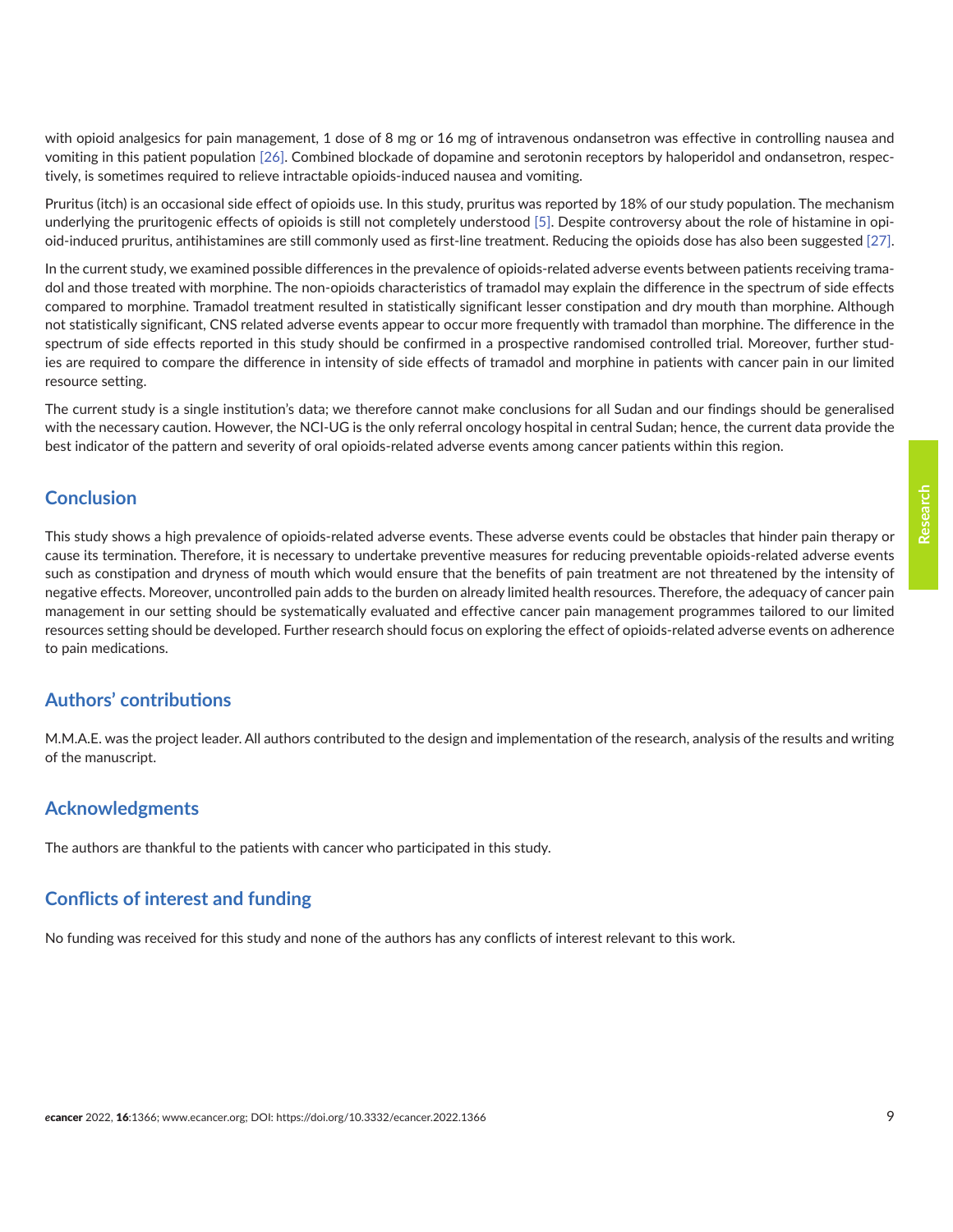**Research**

with opioid analgesics for pain management, 1 dose of 8 mg or 16 mg of intravenous ondansetron was effective in controlling nausea and vomiting in this patient population [\[26\].](#page-10-0) Combined blockade of dopamine and serotonin receptors by haloperidol and ondansetron, respectively, is sometimes required to relieve intractable opioids-induced nausea and vomiting.

Pruritus (itch) is an occasional side effect of opioids use. In this study, pruritus was reported by 18% of our study population. The mechanism underlying the pruritogenic effects of opioids is still not completely understood [\[5\]](#page-9-0). Despite controversy about the role of histamine in opioid-induced pruritus, antihistamines are still commonly used as first-line treatment. Reducing the opioids dose has also been suggested [\[27\].](#page-10-0)

In the current study, we examined possible differences in the prevalence of opioids-related adverse events between patients receiving tramadol and those treated with morphine. The non-opioids characteristics of tramadol may explain the difference in the spectrum of side effects compared to morphine. Tramadol treatment resulted in statistically significant lesser constipation and dry mouth than morphine. Although not statistically significant, CNS related adverse events appear to occur more frequently with tramadol than morphine. The difference in the spectrum of side effects reported in this study should be confirmed in a prospective randomised controlled trial. Moreover, further studies are required to compare the difference in intensity of side effects of tramadol and morphine in patients with cancer pain in our limited resource setting.

The current study is a single institution's data; we therefore cannot make conclusions for all Sudan and our findings should be generalised with the necessary caution. However, the NCI-UG is the only referral oncology hospital in central Sudan; hence, the current data provide the best indicator of the pattern and severity of oral opioids-related adverse events among cancer patients within this region.

# **Conclusion**

This study shows a high prevalence of opioids-related adverse events. These adverse events could be obstacles that hinder pain therapy or cause its termination. Therefore, it is necessary to undertake preventive measures for reducing preventable opioids-related adverse events such as constipation and dryness of mouth which would ensure that the benefits of pain treatment are not threatened by the intensity of negative effects. Moreover, uncontrolled pain adds to the burden on already limited health resources. Therefore, the adequacy of cancer pain management in our setting should be systematically evaluated and effective cancer pain management programmes tailored to our limited resources setting should be developed. Further research should focus on exploring the effect of opioids-related adverse events on adherence to pain medications.

# **Authors' contributions**

M.M.A.E. was the project leader. All authors contributed to the design and implementation of the research, analysis of the results and writing of the manuscript.

# **Acknowledgments**

The authors are thankful to the patients with cancer who participated in this study.

# **Conflicts of interest and funding**

No funding was received for this study and none of the authors has any conflicts of interest relevant to this work.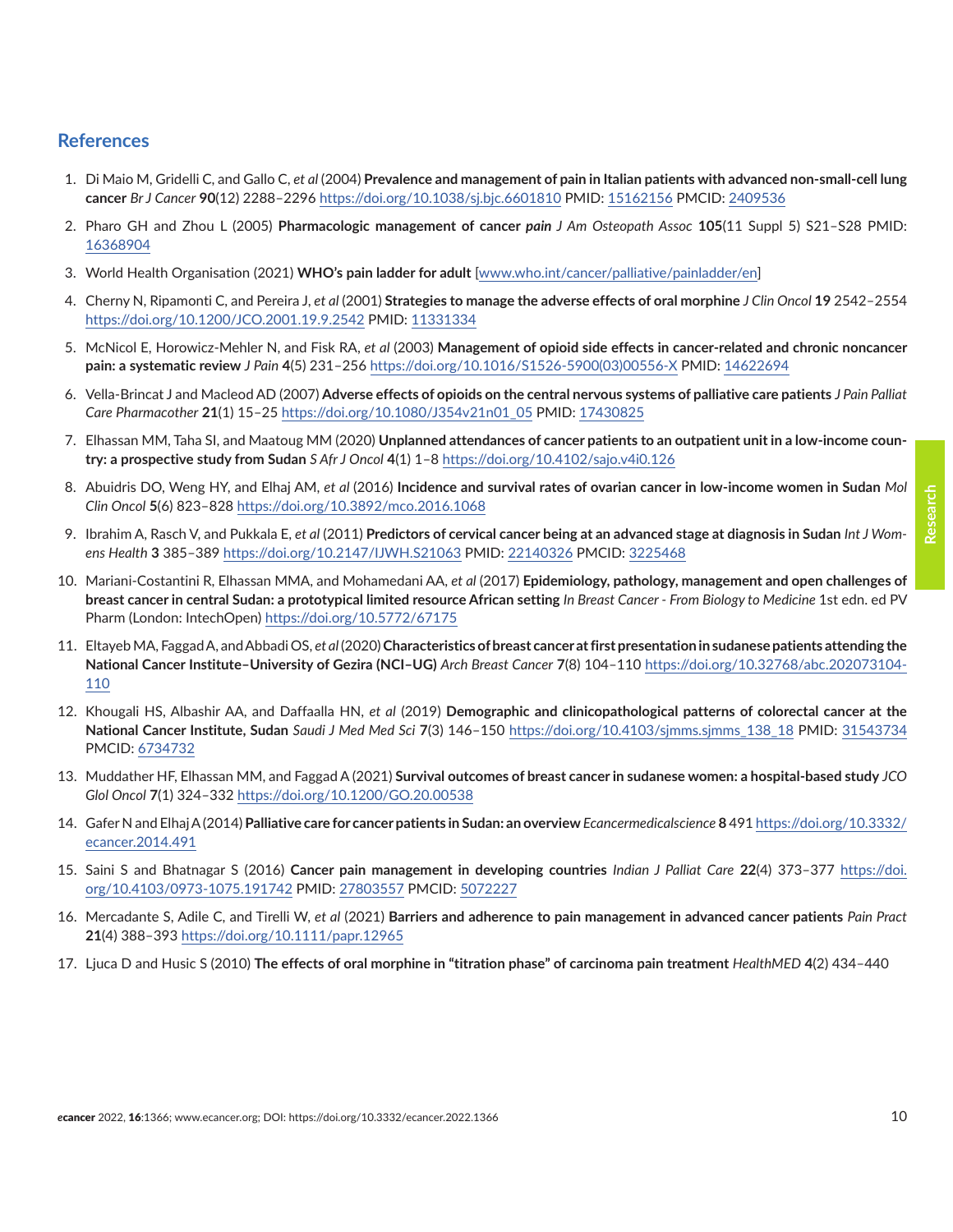#### <span id="page-9-0"></span>**References**

- 1. Di Maio M, Gridelli C, and Gallo C, *et al* (2004) **Prevalence and management of pain in Italian patients with advanced non-small-cell lung cancer** *Br J Cancer* **90**(12) 2288–2296<https://doi.org/10.1038/sj.bjc.6601810>PMID: [15162156](http://www.ncbi.nlm.nih.gov/pubmed/15162156) PMCID: [2409536](http://www.ncbi.nlm.nih.gov/pmc/articles/PMC2409536)
- 2. Pharo GH and Zhou L (2005) **Pharmacologic management of cancer** *pain J Am Osteopath Assoc* **105**(11 Suppl 5) S21–S28 PMID: [16368904](http://www.ncbi.nlm.nih.gov/pubmed/16368904)
- 3. World Health Organisation (2021) **WHO's pain ladder for adult** [\[www.who.int/cancer/palliative/painladder/en\]](http://www.who.int/cancer/palliative/painladder/en)
- 4. Cherny N, Ripamonti C, and Pereira J, *et al* (2001) **Strategies to manage the adverse effects of oral morphine** *J Clin Oncol* **19** 2542–2554 <https://doi.org/10.1200/JCO.2001.19.9.2542> PMID: [11331334](http://www.ncbi.nlm.nih.gov/pubmed/11331334)
- 5. McNicol E, Horowicz-Mehler N, and Fisk RA, *et al* (2003) **Management of opioid side effects in cancer-related and chronic noncancer pain: a systematic review** *J Pain* **4**(5) 231–256 [https://doi.org/10.1016/S1526-5900\(03\)00556-X](https://doi.org/10.1016/S1526-5900(03)00556-X) PMID: [14622694](http://www.ncbi.nlm.nih.gov/pubmed/14622694)
- 6. Vella-Brincat J and Macleod AD (2007) **Adverse effects of opioids on the central nervous systems of palliative care patients** *J Pain Palliat Care Pharmacother* **21**(1) 15–25 [https://doi.org/10.1080/J354v21n01\\_05](https://doi.org/10.1080/J354v21n01_05) PMID: [17430825](http://www.ncbi.nlm.nih.gov/pubmed/17430825)
- 7. Elhassan MM, Taha SI, and Maatoug MM (2020) **Unplanned attendances of cancer patients to an outpatient unit in a low-income country: a prospective study from Sudan** *S Afr J Oncol* **4**(1) 1–8<https://doi.org/10.4102/sajo.v4i0.126>
- 8. Abuidris DO, Weng HY, and Elhaj AM, *et al* (2016) **Incidence and survival rates of ovarian cancer in low-income women in Sudan** *Mol Clin Oncol* **5**(6) 823–828<https://doi.org/10.3892/mco.2016.1068>
- 9. Ibrahim A, Rasch V, and Pukkala E, *et al* (2011) **Predictors of cervical cancer being at an advanced stage at diagnosis in Sudan** *Int J Womens Health* **3** 385–389 <https://doi.org/10.2147/IJWH.S21063> PMID: [22140326](http://www.ncbi.nlm.nih.gov/pubmed/22140326) PMCID: [3225468](http://www.ncbi.nlm.nih.gov/pmc/articles/PMC3225468)
- 10. Mariani-Costantini R, Elhassan MMA, and Mohamedani AA, *et al* (2017) **Epidemiology, pathology, management and open challenges of breast cancer in central Sudan: a prototypical limited resource African setting** *In Breast Cancer - From Biology to Medicine* 1st edn. ed PV Pharm (London: IntechOpen)<https://doi.org/10.5772/67175>
- 11. Eltayeb MA, Faggad A, and Abbadi OS, *et al* (2020) **Characteristics of breast cancer at first presentation in sudanese patients attending the National Cancer Institute–University of Gezira (NCI–UG)** *Arch Breast Cancer* **7**(8) 104–110 [https://doi.org/10.32768/abc.202073104-](https://doi.org/10.32768/abc.202073104-110) [110](https://doi.org/10.32768/abc.202073104-110)
- 12. Khougali HS, Albashir AA, and Daffaalla HN, *et al* (2019) **Demographic and clinicopathological patterns of colorectal cancer at the National Cancer Institute, Sudan** *Saudi J Med Med Sci* **7**(3) 146–150 [https://doi.org/10.4103/sjmms.sjmms\\_138\\_18](https://doi.org/10.4103/sjmms.sjmms_138_18) PMID: [31543734](http://www.ncbi.nlm.nih.gov/pubmed/31543734) PMCID: [6734732](http://www.ncbi.nlm.nih.gov/pmc/articles/PMC6734732)
- 13. Muddather HF, Elhassan MM, and Faggad A (2021) **Survival outcomes of breast cancer in sudanese women: a hospital-based study** *JCO Glol Oncol* **7**(1) 324–332 <https://doi.org/10.1200/GO.20.00538>
- 14. Gafer N and Elhaj A (2014) **Palliative care for cancer patients in Sudan: an overview** *Ecancermedicalscience* **8** 491 [https://doi.org/10.3332/](https://doi.org/10.3332/ecancer.2014.491) [ecancer.2014.491](https://doi.org/10.3332/ecancer.2014.491)
- 15. Saini S and Bhatnagar S (2016) **Cancer pain management in developing countries** *Indian J Palliat Care* **22**(4) 373–377 [https://doi.](https://doi.org/10.4103/0973-1075.191742) [org/10.4103/0973-1075.191742](https://doi.org/10.4103/0973-1075.191742) PMID: [27803557](http://www.ncbi.nlm.nih.gov/pubmed/27803557) PMCID: [5072227](http://www.ncbi.nlm.nih.gov/pmc/articles/PMC5072227)
- 16. Mercadante S, Adile C, and Tirelli W, *et al* (2021) **Barriers and adherence to pain management in advanced cancer patients** *Pain Pract* **21**(4) 388–393 <https://doi.org/10.1111/papr.12965>
- 17. Ljuca D and Husic S (2010) **The effects of oral morphine in "titration phase" of carcinoma pain treatment** *HealthMED* **4**(2) 434–440